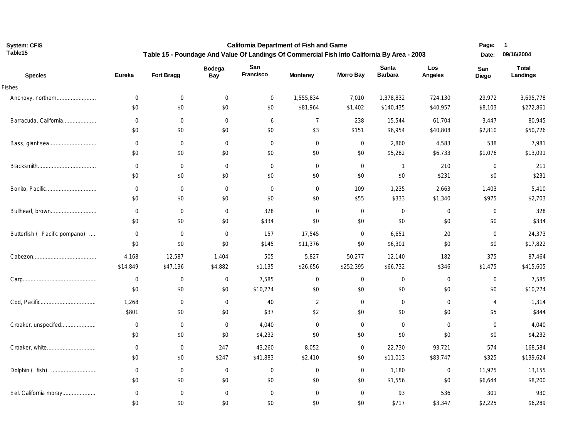**California Department of Fish and Game Table 15 - Poundage And Value Of Landings Of Commercial Fish Into California By Area - 2003** **Page: 1 Date: 09/16/2004**

| <b>Species</b>                | Eureka      | Fort Bragg       | <b>Bodega</b><br>Bay | San<br>Francisco | <b>Monterey</b> | <b>Morro Bay</b> | Santa<br><b>Barbara</b> | Los<br>Angeles | San<br>Diego | <b>Total</b><br>Landings |
|-------------------------------|-------------|------------------|----------------------|------------------|-----------------|------------------|-------------------------|----------------|--------------|--------------------------|
| <b>Fishes</b>                 |             |                  |                      |                  |                 |                  |                         |                |              |                          |
| Anchovy, northern             | $\mathbf 0$ | $\mathbf 0$      | $\mathbf 0$          | $\mathbf 0$      | 1,555,834       | 7,010            | 1,378,832               | 724,130        | 29,972       | 3,695,778                |
|                               | \$0         | \$0              | \$0                  | \$0              | \$81,964        | \$1,402          | \$140,435               | \$40,957       | \$8,103      | \$272,861                |
| Barracuda, California         | $\mathbf 0$ | $\mathbf 0$      | $\mathbf 0$          | 6                | $\overline{7}$  | 238              | 15,544                  | 61,704         | 3,447        | 80,945                   |
|                               | \$0         | \$0              | \$0                  | \$0              | \$3             | \$151            | \$6,954                 | \$40,808       | \$2,810      | \$50,726                 |
|                               | $\mathbf 0$ | $\overline{0}$   | $\mathbf 0$          | $\overline{0}$   | $\mathbf 0$     | $\mathbf 0$      | 2,860                   | 4,583          | 538          | 7,981                    |
|                               | \$0         | \$0              | \$0                  | \$0              | \$0             | \$0              | \$5,282                 | \$6,733        | \$1,076      | \$13,091                 |
|                               | $\mathbf 0$ | $\overline{0}$   | $\mathbf 0$          | $\mathbf 0$      | $\mathbf 0$     | $\mathbf 0$      | $\overline{1}$          | 210            | $\mathbf 0$  | 211                      |
|                               | \$0         | \$0              | \$0                  | \$0              | \$0             | \$0              | \$0                     | \$231          | \$0          | \$231                    |
|                               | $\mathbf 0$ | $\mathbf 0$      | $\overline{0}$       | $\overline{0}$   | $\mathbf 0$     | 109              | 1,235                   | 2,663          | 1,403        | 5,410                    |
|                               | \$0         | \$0              | \$0                  | \$0              | \$0             | \$55             | \$333                   | \$1,340        | \$975        | \$2,703                  |
| Bullhead, brown               | $\mathbf 0$ | $\mathbf 0$      | $\mathbf 0$          | 328              | $\mathbf 0$     | $\mathbf 0$      | $\overline{0}$          | 0              | $\mathbf 0$  | 328                      |
|                               | \$0         | \$0              | \$0                  | \$334            | \$0             | \$0              | \$0                     | \$0            | \$0          | \$334                    |
| Butterfish ( Pacific pompano) | $\mathbf 0$ | $\mathbf 0$      | $\overline{0}$       | 157              | 17,545          | $\mathbf 0$      | 6,651                   | 20             | $\mathbf 0$  | 24,373                   |
|                               | \$0         | \$0              | \$0                  | \$145            | \$11,376        | \$0              | \$6,301                 | \$0            | \$0          | \$17,822                 |
|                               | 4,168       | 12,587           | 1,404                | 505              | 5,827           | 50,277           | 12,140                  | 182            | 375          | 87,464                   |
|                               | \$14,849    | \$47,136         | \$4,882              | \$1,135          | \$26,656        | \$252,395        | \$66,732                | \$346          | \$1,475      | \$415,605                |
|                               | $\mathbf 0$ | $\mathbf 0$      | $\mathbf 0$          | 7,585            | $\mathbf 0$     | $\mathbf 0$      | $\mathbf 0$             | 0              | $\mathbf 0$  | 7,585                    |
|                               | \$0         | \$0              | \$0                  | \$10,274         | \$0             | \$0              | \$0                     | \$0            | \$0          | \$10,274                 |
|                               | 1,268       | $\mathbf 0$      | $\mathbf 0$          | 40               | $\overline{2}$  | $\mathbf 0$      | $\mathbf 0$             | 0              | 4            | 1,314                    |
|                               | \$801       | \$0              | \$0                  | \$37             | \$2             | \$0              | \$0                     | \$0            | \$5          | \$844                    |
| Croaker, unspecifed           | $\mathbf 0$ | $\mathbf 0$      | $\mathbf 0$          | 4,040            | $\mathbf 0$     | $\mathbf 0$      | $\mathbf 0$             | $\mathbf{0}$   | $\mathbf 0$  | 4,040                    |
|                               | \$0         | \$0              | \$0                  | \$4,232          | \$0             | \$0              | \$0                     | \$0            | \$0          | \$4,232                  |
|                               | $\mathbf 0$ | $\boldsymbol{0}$ | 247                  | 43,260           | 8,052           | $\mathbf 0$      | 22,730                  | 93,721         | 574          | 168,584                  |
|                               | \$0         | \$0              | \$247                | \$41,883         | \$2,410         | \$0              | \$11,013                | \$83,747       | \$325        | \$139,624                |
|                               | $\mathbf 0$ | $\mathbf 0$      | $\mathbf 0$          | $\mathbf 0$      | $\mathbf 0$     | $\mathbf 0$      | 1,180                   | 0              | 11,975       | 13,155                   |
|                               | \$0         | \$0              | \$0                  | \$0              | \$0             | \$0              | \$1,556                 | \$0            | \$6,644      | \$8,200                  |
| Eel, California moray         | $\mathbf 0$ | $\mathbf 0$      | $\mathbf 0$          | $\overline{0}$   | $\mathbf 0$     | $\mathbf 0$      | 93                      | 536            | 301          | 930                      |
|                               | \$0         | \$0              | \$0                  | \$0              | \$0             | \$0              | \$717                   | \$3,347        | \$2,225      | \$6,289                  |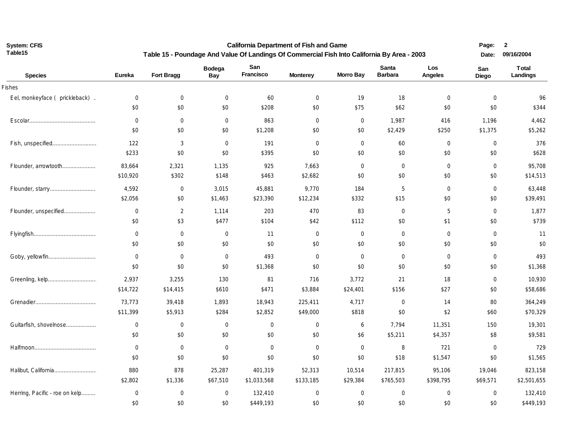**California Department of Fish and Game Table 15 - Poundage And Value Of Landings Of Commercial Fish Into California By Area - 2003** **Page: 2** 

| <b>Species</b>                 | Eureka      | Fort Bragg     | <b>Bodega</b><br>Bay | San<br>Francisco | <b>Monterey</b> | <b>Morro Bay</b> | <b>Santa</b><br><b>Barbara</b> | Los<br>Angeles | San<br>Diego   | <b>Total</b><br>Landings |
|--------------------------------|-------------|----------------|----------------------|------------------|-----------------|------------------|--------------------------------|----------------|----------------|--------------------------|
| Fishes                         |             |                |                      |                  |                 |                  |                                |                |                |                          |
| Eel, monkeyface (prickleback). | $\mathbf 0$ | $\mathbf 0$    | $\mathbf 0$          | 60               | 0               | 19               | 18                             | $\mathbf 0$    | $\mathbf{0}$   | 96                       |
|                                | \$0         | \$0            | \$0                  | \$208            | \$0             | \$75             | \$62                           | \$0            | \$0            | \$344                    |
|                                | $\mathbf 0$ | $\mathbf 0$    | $\mathbf 0$          | 863              | $\mathbf 0$     | $\mathbf 0$      | 1,987                          | 416            | 1,196          | 4,462                    |
|                                | \$0         | \$0            | \$0                  | \$1,208          | \$0             | \$0              | \$2,429                        | \$250          | \$1,375        | \$5,262                  |
| Fish, unspecified              | 122         | $\mathfrak{Z}$ | $\boldsymbol{0}$     | 191              | $\mathbf 0$     | $\mathbf{0}$     | 60                             | $\mathbf 0$    | $\mathbf 0$    | 376                      |
|                                | \$233       | \$0            | \$0                  | \$395            | \$0             | \$0              | \$0                            | \$0            | \$0            | \$628                    |
| Flounder, arrowtooth           | 83,664      | 2,321          | 1,135                | 925              | 7,663           | $\mathbf 0$      | $\overline{0}$                 | $\mathbf 0$    | $\mathbf 0$    | 95,708                   |
|                                | \$10,920    | \$302          | \$148                | \$463            | \$2,682         | \$0              | \$0                            | \$0            | \$0            | \$14,513                 |
|                                | 4,592       | $\overline{0}$ | 3,015                | 45,881           | 9,770           | 184              | 5                              | $\mathbf 0$    | $\overline{0}$ | 63,448                   |
|                                | \$2,056     | \$0            | \$1,463              | \$23,390         | \$12,234        | \$332            | \$15                           | \$0            | \$0            | \$39,491                 |
| Flounder, unspecified          | $\mathbf 0$ | 2              | 1,114                | 203              | 470             | 83               | $\mathbf 0$                    | 5              | $\overline{0}$ | 1,877                    |
|                                | \$0         | \$3            | \$477                | \$104            | \$42            | \$112            | \$0                            | \$1            | \$0            | \$739                    |
|                                | $\mathbf 0$ | $\overline{0}$ | $\mathbf 0$          | 11               | $\mathbf 0$     | $\mathbf 0$      | $\mathbf 0$                    | $\mathbf 0$    | $\mathbf 0$    | 11                       |
|                                | \$0         | \$0            | $\$0$                | \$0              | \$0             | \$0              | \$0                            | \$0            | \$0            | \$0                      |
| Goby, yellowfin                | $\mathbf 0$ | $\mathbf 0$    | $\mathbf 0$          | 493              | $\mathbf 0$     | $\mathbf 0$      | $\mathbf 0$                    | $\mathbf 0$    | $\mathbf 0$    | 493                      |
|                                | \$0         | \$0            | \$0                  | \$1,368          | \$0             | \$0              | \$0                            | \$0            | \$0            | \$1,368                  |
|                                | 2,937       | 3,255          | 130                  | 81               | 716             | 3,772            | 21                             | 18             | $\mathbf 0$    | 10,930                   |
|                                | \$14,722    | \$14,415       | \$610                | \$471            | \$3,884         | \$24,401         | \$156                          | \$27           | \$0            | \$58,686                 |
|                                | 73,773      | 39,418         | 1,893                | 18,943           | 225,411         | 4,717            | $\mathbf 0$                    | 14             | 80             | 364,249                  |
|                                | \$11,399    | \$5,913        | \$284                | \$2,852          | \$49,000        | \$818            | \$0                            | \$2            | \$60           | \$70,329                 |
| Guitarfish, shovelnose         | $\mathbf 0$ | $\overline{0}$ | $\mathbf 0$          | 0                | 0               | 6                | 7,794                          | 11,351         | 150            | 19,301                   |
|                                | \$0         | \$0            | \$0                  | \$0              | \$0             | \$6              | \$5,211                        | \$4,357        | \$8            | \$9,581                  |
|                                | $\mathbf 0$ | $\mathbf 0$    | $\mathbf 0$          | $\mathbf 0$      | $\mathbf 0$     | $\mathbf 0$      | 8                              | 721            | $\mathbf 0$    | 729                      |
|                                | \$0         | \$0            | \$0                  | \$0              | \$0             | \$0              | \$18                           | \$1,547        | \$0            | \$1,565                  |
| Halibut, California            | 880         | 878            | 25,287               | 401,319          | 52,313          | 10,514           | 217,815                        | 95,106         | 19,046         | 823,158                  |
|                                | \$2,802     | \$1,336        | \$67,510             | \$1,033,568      | \$133,185       | \$29,384         | \$765,503                      | \$398,795      | \$69,571       | \$2,501,655              |
| Herring, Pacific - roe on kelp | $\mathbf 0$ | $\mathbf 0$    | $\mathbf 0$          | 132,410          | $\mathbf 0$     | $\mathbf 0$      | $\mathbf 0$                    | $\mathbf 0$    | $\overline{0}$ | 132,410                  |
|                                | \$0         | \$0            | \$0                  | \$449,193        | \$0             | \$0              | \$0                            | \$0            | \$0            | \$449,193                |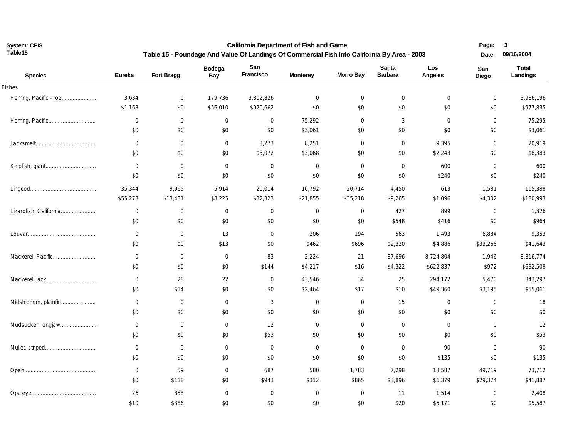**California Department of Fish and Game Table 15 - Poundage And Value Of Landings Of Commercial Fish Into California By Area - 2003** **Page: 3** 

| <b>Species</b>         | <b>Eureka</b> | Fort Bragg     | <b>Bodega</b><br>Bay | San<br>Francisco | <b>Monterey</b> | <b>Morro Bay</b> | Santa<br><b>Barbara</b> | Los<br>Angeles | San<br>Diego   | <b>Total</b><br>Landings |
|------------------------|---------------|----------------|----------------------|------------------|-----------------|------------------|-------------------------|----------------|----------------|--------------------------|
| Fishes                 |               |                |                      |                  |                 |                  |                         |                |                |                          |
| Herring, Pacific - roe | 3,634         | $\mathbf 0$    | 179,736              | 3,802,826        | $\mathbf 0$     | $\mathbf 0$      | $\mathbf 0$             | $\mathbf 0$    | $\mathbf 0$    | 3,986,196                |
|                        | \$1,163       | \$0            | \$56,010             | \$920,662        | \$0             | \$0              | \$0                     | \$0            | \$0            | \$977,835                |
|                        | 0             | $\overline{0}$ | $\overline{0}$       | $\mathbf 0$      | 75,292          | $\mathbf{0}$     | 3                       | $\mathbf 0$    | $\overline{0}$ | 75,295                   |
|                        | \$0           | \$0            | \$0                  | \$0              | \$3,061         | \$0              | \$0                     | \$0            | \$0            | \$3,061                  |
|                        | 0             | $\mathbf 0$    | $\overline{0}$       | 3,273            | 8,251           | $\mathbf{0}$     | $\mathbf 0$             | 9,395          | $\mathbf 0$    | 20,919                   |
|                        | \$0           | \$0            | \$0                  | \$3,072          | \$3,068         | \$0              | \$0                     | \$2,243        | \$0            | \$8,383                  |
|                        | $\mathbf 0$   | $\overline{0}$ | $\overline{0}$       | $\mathbf 0$      | $\mathbf 0$     | $\mathbf{0}$     | $\mathbf 0$             | 600            | $\mathbf 0$    | 600                      |
|                        | \$0           | \$0            | \$0                  | \$0              | \$0             | \$0              | \$0                     | \$240          | \$0            | \$240                    |
|                        | 35,344        | 9,965          | 5,914                | 20,014           | 16,792          | 20,714           | 4,450                   | 613            | 1,581          | 115,388                  |
|                        | \$55,278      | \$13,431       | \$8,225              | \$32,323         | \$21,855        | \$35,218         | \$9,265                 | \$1,096        | \$4,302        | \$180,993                |
| Lizardfish, California | $\mathbf 0$   | $\overline{0}$ | $\overline{0}$       | $\overline{0}$   | $\mathbf 0$     | $\mathbf{0}$     | 427                     | 899            | $\mathbf 0$    | 1,326                    |
|                        | \$0           | \$0            | \$0                  | \$0              | \$0             | \$0              | \$548                   | \$416          | \$0            | \$964                    |
|                        | $\mathbf 0$   | $\overline{0}$ | 13                   | $\mathbf 0$      | 206             | 194              | 563                     | 1,493          | 6,884          | 9,353                    |
|                        | \$0           | \$0            | \$13                 | \$0              | \$462           | \$696            | \$2,320                 | \$4,886        | \$33,266       | \$41,643                 |
| Mackerel, Pacific      | $\mathbf 0$   | $\overline{0}$ | $\mathbf 0$          | 83               | 2,224           | 21               | 87,696                  | 8,724,804      | 1,946          | 8,816,774                |
|                        | \$0           | \$0            | \$0                  | \$144            | \$4,217         | \$16             | \$4,322                 | \$622,837      | \$972          | \$632,508                |
|                        | $\mathbf 0$   | 28             | 22                   | 0                | 43,546          | 34               | 25                      | 294,172        | 5,470          | 343,297                  |
|                        | \$0           | \$14           | \$0                  | \$0              | \$2,464         | \$17             | \$10                    | \$49,360       | \$3,195        | \$55,061                 |
| Midshipman, plainfin   | $\mathbf 0$   | $\overline{0}$ | $\mathbf 0$          | 3                | $\mathbf 0$     | 0                | 15                      | 0              | $\mathbf 0$    | 18                       |
|                        | \$0           | \$0            | \$0                  | \$0              | \$0             | \$0              | \$0                     | \$0            | \$0            | \$0                      |
| Mudsucker, longjaw     | $\mathbf 0$   | $\overline{0}$ | $\mathbf 0$          | 12               | $\mathbf 0$     | $\mathbf 0$      | $\mathbf 0$             | $\mathbf 0$    | $\mathbf 0$    | 12                       |
|                        | \$0           | \$0            | \$0                  | \$53             | \$0             | \$0              | \$0                     | \$0            | \$0            | \$53                     |
|                        | $\mathbf 0$   | $\overline{0}$ | $\mathbf 0$          | $\mathbf 0$      | $\mathbf 0$     | $\mathbf 0$      | $\mathbf 0$             | 90             | $\mathbf 0$    | 90                       |
|                        | \$0           | \$0            | \$0                  | \$0              | \$0             | \$0              | \$0                     | \$135          | \$0            | \$135                    |
|                        | $\mathbf 0$   | 59             | $\mathbf 0$          | 687              | 580             | 1,783            | 7,298                   | 13,587         | 49,719         | 73,712                   |
|                        | \$0           | \$118          | \$0                  | \$943            | \$312           | \$865            | \$3,896                 | \$6,379        | \$29,374       | \$41,887                 |
|                        | 26            | 858            | $\mathbf 0$          | $\mathbf 0$      | $\mathbf 0$     | 0                | 11                      | 1,514          | $\mathbf 0$    | 2,408                    |
|                        | \$10          | \$386          | \$0                  | \$0              | \$0             | \$0              | \$20                    | \$5,171        | \$0            | \$5,587                  |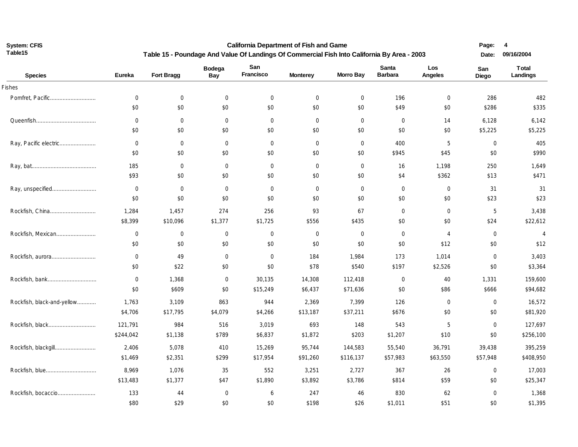**California Department of Fish and Game Table 15 - Poundage And Value Of Landings Of Commercial Fish Into California By Area - 2003**

| <b>Species</b>             | <b>Eureka</b>  | Fort Bragg     | <b>Bodega</b><br>Bay | San<br>Francisco | <b>Monterey</b> | <b>Morro Bay</b> | <b>Santa</b><br><b>Barbara</b> | Los<br>Angeles | San<br>Diego | <b>Total</b><br>Landings |
|----------------------------|----------------|----------------|----------------------|------------------|-----------------|------------------|--------------------------------|----------------|--------------|--------------------------|
| Fishes                     |                |                |                      |                  |                 |                  |                                |                |              |                          |
|                            | $\mathbf 0$    | $\overline{0}$ | $\mathbf 0$          | $\overline{0}$   | $\overline{0}$  | $\mathbf 0$      | 196                            | $\mathbf 0$    | 286          | 482                      |
|                            | \$0            | \$0            | $\$0$                | \$0              | \$0             | \$0              | \$49                           | \$0            | \$286        | \$335                    |
|                            | $\overline{0}$ | $\overline{0}$ | $\mathbf 0$          | $\overline{0}$   | $\mathbf 0$     | $\mathbf 0$      | $\mathbf 0$                    | 14             | 6,128        | 6,142                    |
|                            | \$0            | \$0            | \$0                  | \$0              | \$0             | \$0              | \$0                            | \$0            | \$5,225      | \$5,225                  |
| Ray, Pacific electric      | $\mathbf 0$    | $\overline{0}$ | $\overline{0}$       | $\overline{0}$   | $\mathbf 0$     | $\mathbf 0$      | 400                            | 5              | $\mathbf 0$  | 405                      |
|                            | \$0            | \$0            | \$0                  | \$0              | \$0             | \$0              | \$945                          | \$45           | \$0          | \$990                    |
|                            | 185            | $\mathbf 0$    | $\mathbf 0$          | $\overline{0}$   | $\mathbf 0$     | $\mathbf 0$      | 16                             | 1,198          | 250          | 1,649                    |
|                            | \$93           | \$0            | \$0                  | \$0              | \$0             | \$0              | \$4                            | \$362          | \$13         | \$471                    |
|                            | $\mathbf 0$    | $\overline{0}$ | $\overline{0}$       | $\overline{0}$   | $\overline{0}$  | $\mathbf 0$      | $\overline{0}$                 | $\mathbf 0$    | 31           | 31                       |
|                            | \$0            | \$0            | \$0                  | \$0              | \$0             | \$0              | \$0                            | \$0            | \$23         | \$23                     |
|                            | 1,284          | 1,457          | 274                  | 256              | 93              | 67               | 0                              | $\mathbf 0$    | 5            | 3,438                    |
|                            | \$8,399        | \$10,096       | \$1,377              | \$1,725          | \$556           | \$435            | \$0                            | \$0            | \$24         | \$22,612                 |
| Rockfish, Mexican          | $\mathbf 0$    | $\overline{0}$ | $\mathbf 0$          | $\overline{0}$   | $\overline{0}$  | $\mathbf 0$      | $\overline{0}$                 | $\overline{4}$ | $\mathbf 0$  | $\overline{4}$           |
|                            | \$0            | \$0            | \$0                  | \$0              | \$0             | \$0              | \$0                            | \$12           | \$0          | \$12                     |
| Rockfish, aurora           | $\mathbf 0$    | 49             | $\overline{0}$       | $\overline{0}$   | 184             | 1,984            | 173                            | 1,014          | $\mathbf 0$  | 3,403                    |
|                            | \$0            | \$22           | \$0                  | \$0              | \$78            | \$540            | \$197                          | \$2,526        | \$0          | \$3,364                  |
|                            | $\mathbf 0$    | 1,368          | $\mathbf 0$          | 30,135           | 14,308          | 112,418          | $\mathbf 0$                    | 40             | 1,331        | 159,600                  |
|                            | \$0            | \$609          | \$0                  | \$15,249         | \$6,437         | \$71,636         | \$0                            | \$86           | \$666        | \$94,682                 |
| Rockfish, black-and-yellow | 1,763          | 3,109          | 863                  | 944              | 2,369           | 7,399            | 126                            | $\mathbf 0$    | $\mathbf 0$  | 16,572                   |
|                            | \$4,706        | \$17,795       | \$4,079              | \$4,266          | \$13,187        | \$37,211         | \$676                          | \$0            | \$0          | \$81,920                 |
| Rockfish, black            | 121,791        | 984            | 516                  | 3,019            | 693             | 148              | 543                            | 5              | $\mathbf 0$  | 127,697                  |
|                            | \$244,042      | \$1,138        | \$789                | \$6,837          | \$1,872         | \$203            | \$1,207                        | \$10           | \$0          | \$256,100                |
| Rockfish, blackgill        | 2,406          | 5,078          | 410                  | 15,269           | 95,744          | 144,583          | 55,540                         | 36,791         | 39,438       | 395,259                  |
|                            | \$1,469        | \$2,351        | \$299                | \$17,954         | \$91,260        | \$116,137        | \$57,983                       | \$63,550       | \$57,948     | \$408,950                |
| Rockfish, blue             | 8,969          | 1,076          | 35                   | 552              | 3,251           | 2,727            | 367                            | 26             | $\mathbf 0$  | 17,003                   |
|                            | \$13,483       | \$1,377        | \$47                 | \$1,890          | \$3,892         | \$3,786          | \$814                          | \$59           | \$0          | \$25,347                 |
|                            | 133            | 44             | $\mathbf 0$          | 6                | 247             | 46               | 830                            | 62             | $\mathbf 0$  | 1,368                    |
|                            | \$80           | \$29           | \$0                  | \$0              | \$198           | \$26             | \$1,011                        | \$51           | \$0          | \$1,395                  |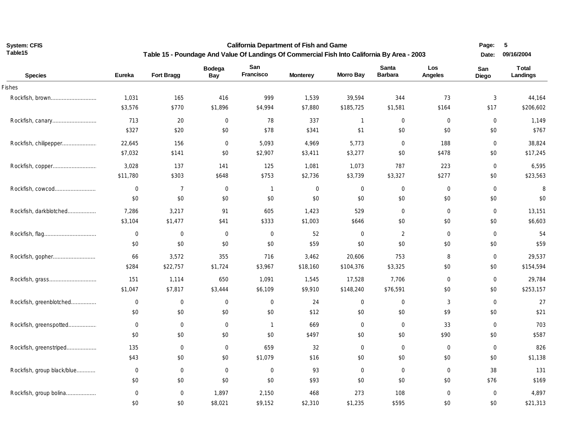**California Department of Fish and Game Table 15 - Poundage And Value Of Landings Of Commercial Fish Into California By Area - 2003** **Page: 5 Date: 09/16/2004**

| <b>Species</b>             | <b>Eureka</b> | Fort Bragg     | <b>Bodega</b><br>Bay | San<br>Francisco | <b>Monterey</b> | <b>Morro Bay</b> | Santa<br><b>Barbara</b> | Los<br>Angeles   | San<br>Diego     | <b>Total</b><br>Landings |
|----------------------------|---------------|----------------|----------------------|------------------|-----------------|------------------|-------------------------|------------------|------------------|--------------------------|
| Fishes                     |               |                |                      |                  |                 |                  |                         |                  |                  |                          |
| Rockfish, brown            | 1,031         | 165            | 416                  | 999              | 1,539           | 39,594           | 344                     | 73               | 3                | 44,164                   |
|                            | \$3,576       | \$770          | \$1,896              | \$4,994          | \$7,880         | \$185,725        | \$1,581                 | \$164            | \$17             | \$206,602                |
| Rockfish, canary           | 713           | 20             | $\mathbf 0$          | 78               | 337             | $\mathbf{1}$     | $\mathbf 0$             | $\mathbf 0$      | $\mathbf 0$      | 1,149                    |
|                            | \$327         | \$20           | \$0                  | \$78             | \$341           | \$1              | \$0                     | \$0              | \$0              | \$767                    |
|                            | 22,645        | 156            | $\mathbf 0$          | 5,093            | 4,969           | 5,773            | $\overline{0}$          | 188              | 0                | 38,824                   |
|                            | \$7,032       | \$141          | \$0                  | \$2,907          | \$3,411         | \$3,277          | \$0                     | \$478            | \$0              | \$17,245                 |
|                            | 3,028         | 137            | 141                  | 125              | 1,081           | 1,073            | 787                     | 223              | $\mathbf 0$      | 6,595                    |
|                            | \$11,780      | \$303          | \$648                | \$753            | \$2,736         | \$3,739          | \$3,327                 | \$277            | \$0              | \$23,563                 |
| Rockfish, cowcod           | $\mathbf 0$   | $\overline{7}$ | $\mathbf 0$          | $\mathbf{1}$     | $\mathbf 0$     | $\mathbf 0$      | $\mathbf 0$             | $\boldsymbol{0}$ | $\mathbf 0$      | 8                        |
|                            | \$0           | \$0            | \$0                  | \$0              | \$0             | \$0              | \$0                     | \$0              | \$0              | \$0                      |
| Rockfish, darkblotched     | 7,286         | 3,217          | 91                   | 605              | 1,423           | 529              | 0                       | $\mathbf 0$      | $\mathbf 0$      | 13,151                   |
|                            | \$3,104       | \$1,477        | \$41                 | \$333            | \$1,003         | \$646            | \$0                     | \$0              | \$0              | \$6,603                  |
|                            | $\mathbf 0$   | $\overline{0}$ | $\mathbf 0$          | 0                | 52              | $\mathbf 0$      | $\overline{2}$          | $\mathbf 0$      | $\overline{0}$   | 54                       |
|                            | \$0           | \$0            | \$0                  | \$0              | \$59            | \$0              | \$0                     | \$0              | \$0              | \$59                     |
|                            | 66            | 3,572          | 355                  | 716              | 3,462           | 20,606           | 753                     | 8                | $\mathbf 0$      | 29,537                   |
|                            | \$284         | \$22,757       | \$1,724              | \$3,967          | \$18,160        | \$104,376        | \$3,325                 | \$0              | \$0              | \$154,594                |
|                            | 151           | 1,114          | 650                  | 1,091            | 1,545           | 17,528           | 7,706                   | $\mathbf 0$      | $\mathbf 0$      | 29,784                   |
|                            | \$1,047       | \$7,817        | \$3,444              | \$6,109          | \$9,910         | \$148,240        | \$76,591                | \$0              | \$0              | \$253,157                |
| Rockfish, greenblotched    | $\mathbf 0$   | $\overline{0}$ | $\mathbf 0$          | 0                | 24              | $\overline{0}$   | $\mathbf 0$             | 3                | $\mathbf 0$      | 27                       |
|                            | \$0           | \$0            | \$0                  | \$0              | \$12            | \$0              | \$0                     | \$9              | \$0              | \$21                     |
| Rockfish, greenspotted     | $\mathbf 0$   | $\overline{0}$ | $\mathbf 0$          | $\mathbf{1}$     | 669             | $\mathbf 0$      | $\mathbf 0$             | 33               | $\mathbf 0$      | 703                      |
|                            | \$0           | \$0            | \$0                  | \$0              | \$497           | \$0              | \$0                     | \$90             | \$0              | \$587                    |
| Rockfish, greenstriped     | 135           | $\overline{0}$ | $\mathbf 0$          | 659              | 32              | $\boldsymbol{0}$ | $\mathbf 0$             | $\boldsymbol{0}$ | $\boldsymbol{0}$ | 826                      |
|                            | \$43          | \$0            | \$0                  | \$1,079          | \$16            | \$0              | \$0                     | \$0              | \$0              | \$1,138                  |
| Rockfish, group black/blue | $\mathbf 0$   | $\overline{0}$ | $\mathbf 0$          | 0                | 93              | $\mathbf 0$      | $\mathbf 0$             | $\mathbf 0$      | 38               | 131                      |
|                            | \$0           | \$0            | \$0                  | \$0              | \$93            | \$0              | \$0                     | \$0              | \$76             | \$169                    |
| Rockfish, group bolina     | $\mathbf 0$   | $\overline{0}$ | 1,897                | 2,150            | 468             | 273              | 108                     | $\mathbf 0$      | 0                | 4,897                    |
|                            | \$0           | \$0            | \$8,021              | \$9,152          | \$2,310         | \$1,235          | \$595                   | \$0              | \$0              | \$21,313                 |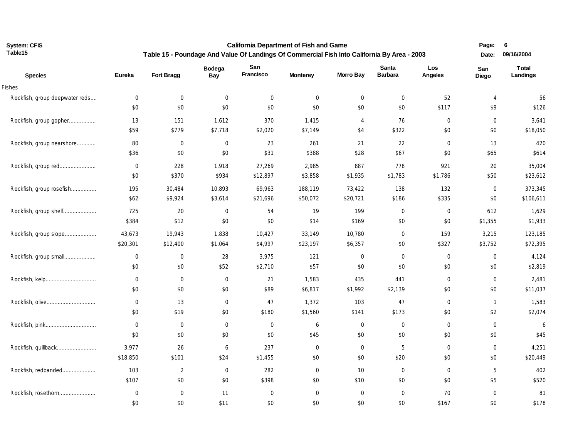**California Department of Fish and Game Table 15 - Poundage And Value Of Landings Of Commercial Fish Into California By Area - 2003** **Page: 6 Date: 09/16/2004**

| <b>Species</b>                 | Eureka         | Fort Bragg     | <b>Bodega</b><br><b>Bay</b> | San<br>Francisco | <b>Monterey</b> | <b>Morro Bay</b> | Santa<br><b>Barbara</b> | Los<br>Angeles | San<br>Diego   | <b>Total</b><br>Landings |
|--------------------------------|----------------|----------------|-----------------------------|------------------|-----------------|------------------|-------------------------|----------------|----------------|--------------------------|
| Fishes                         |                |                |                             |                  |                 |                  |                         |                |                |                          |
| Rockfish, group deepwater reds | $\mathbf 0$    | $\overline{0}$ | $\mathbf 0$                 | 0                | $\mathbf 0$     | $\mathbf 0$      | $\mathbf 0$             | 52             | $\overline{4}$ | 56                       |
|                                | \$0            | \$0            | \$0                         | \$0              | \$0             | \$0              | \$0                     | \$117          | \$9            | \$126                    |
| Rockfish, group gopher         | 13             | 151            | 1,612                       | 370              | 1,415           | $\overline{4}$   | 76                      | $\mathbf 0$    | $\mathbf 0$    | 3,641                    |
|                                | \$59           | \$779          | \$7,718                     | \$2,020          | \$7,149         | \$4              | \$322                   | \$0            | \$0            | \$18,050                 |
| Rockfish, group nearshore      | 80             | $\mathbf 0$    | $\mathbf 0$                 | 23               | 261             | 21               | 22                      | $\mathbf 0$    | 13             | 420                      |
|                                | \$36           | \$0            | \$0                         | \$31             | \$388           | \$28             | \$67                    | \$0            | \$65           | \$614                    |
|                                | $\mathbf 0$    | 228            | 1,918                       | 27,269           | 2,985           | 887              | 778                     | 921            | 20             | 35,004                   |
|                                | \$0            | \$370          | \$934                       | \$12,897         | \$3,858         | \$1,935          | \$1,783                 | \$1,786        | \$50           | \$23,612                 |
| Rockfish, group rosefish       | 195            | 30,484         | 10,893                      | 69,963           | 188,119         | 73,422           | 138                     | 132            | $\mathbf{0}$   | 373,345                  |
|                                | \$62           | \$9,924        | \$3,614                     | \$21,696         | \$50,072        | \$20,721         | \$186                   | \$335          | \$0            | \$106,611                |
| Rockfish, group shelf          | 725            | 20             | $\mathbf 0$                 | 54               | 19              | 199              | $\mathbf 0$             | $\mathbf 0$    | 612            | 1,629                    |
|                                | \$384          | \$12           | \$0                         | \$0              | \$14            | \$169            | \$0                     | \$0            | \$1,355        | \$1,933                  |
| Rockfish, group slope          | 43,673         | 19,943         | 1,838                       | 10,427           | 33,149          | 10,780           | $\mathbf 0$             | 159            | 3,215          | 123,185                  |
|                                | \$20,301       | \$12,400       | \$1,064                     | \$4,997          | \$23,197        | \$6,357          | \$0                     | \$327          | \$3,752        | \$72,395                 |
| Rockfish, group small          | $\mathbf 0$    | $\mathbf 0$    | 28                          | 3,975            | 121             | $\mathbf 0$      | $\mathbf 0$             | $\mathbf 0$    | $\mathbf 0$    | 4,124                    |
|                                | \$0            | \$0            | \$52                        | \$2,710          | \$57            | \$0              | \$0                     | \$0            | \$0            | \$2,819                  |
| Rockfish, kelp                 | $\mathbf 0$    | $\mathbf 0$    | $\overline{0}$              | 21               | 1,583           | 435              | 441                     | $\mathbf 0$    | $\mathbf 0$    | 2,481                    |
|                                | \$0            | \$0            | \$0                         | \$89             | \$6,817         | \$1,992          | \$2,139                 | \$0            | \$0            | \$11,037                 |
|                                | $\overline{0}$ | 13             | 0                           | 47               | 1,372           | 103              | 47                      | $\mathbf 0$    | $\mathbf{1}$   | 1,583                    |
|                                | \$0            | \$19           | \$0                         | \$180            | \$1,560         | \$141            | \$173                   | \$0            | \$2            | \$2,074                  |
|                                | $\mathbf 0$    | $\overline{0}$ | $\mathbf 0$                 | $\mathbf 0$      | 6               | $\mathbf 0$      | $\mathbf 0$             | $\mathbf 0$    | $\mathbf 0$    | 6                        |
|                                | \$0            | \$0            | \$0                         | \$0              | \$45            | \$0              | \$0                     | \$0            | \$0            | \$45                     |
| Rockfish, quillback            | 3,977          | 26             | 6                           | 237              | $\mathbf 0$     | $\mathbf 0$      | 5                       | $\mathbf 0$    | $\mathbf 0$    | 4,251                    |
|                                | \$18,850       | \$101          | \$24                        | \$1,455          | \$0             | \$0              | \$20                    | \$0            | \$0            | \$20,449                 |
| Rockfish, redbanded            | 103            | $\overline{2}$ | $\mathbf 0$                 | 282              | $\mathbf 0$     | 10               | $\mathbf 0$             | $\mathbf 0$    | 5              | 402                      |
|                                | \$107          | \$0            | \$0                         | \$398            | \$0             | \$10             | \$0                     | \$0            | \$5            | \$520                    |
| Rockfish, rosethorn            | $\mathbf 0$    | $\mathbf 0$    | 11                          | $\overline{0}$   | $\mathbf{0}$    | $\mathbf{0}$     | $\overline{0}$          | 70             | $\mathbf{0}$   | 81                       |
|                                | \$0            | \$0            | \$11                        | \$0              | \$0             | \$0              | \$0                     | \$167          | \$0            | \$178                    |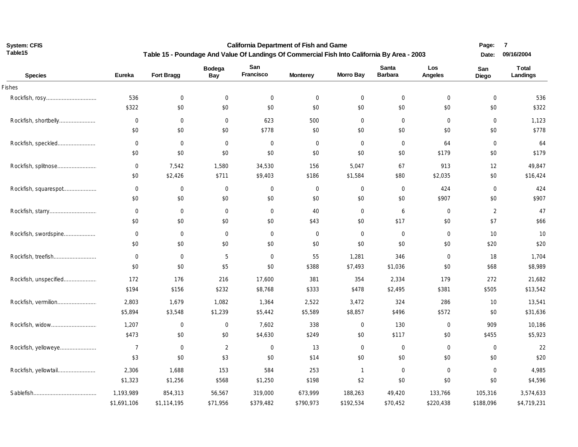**California Department of Fish and Game Table 15 - Poundage And Value Of Landings Of Commercial Fish Into California By Area - 2003**  **7**

| <b>Species</b>        | <b>Eureka</b>  | Fort Bragg  | <b>Bodega</b><br>Bay | San<br>Francisco | <b>Monterey</b> | <b>Morro Bay</b> | <b>Santa</b><br><b>Barbara</b> | Los<br>Angeles | San<br><b>Diego</b> | <b>Total</b><br>Landings |
|-----------------------|----------------|-------------|----------------------|------------------|-----------------|------------------|--------------------------------|----------------|---------------------|--------------------------|
| <b>Fishes</b>         |                |             |                      |                  |                 |                  |                                |                |                     |                          |
|                       | 536            | $\mathbf 0$ | $\mathbf 0$          | 0                | $\mathbf 0$     | $\mathbf 0$      | $\mathbf 0$                    | $\mathbf 0$    | $\mathbf 0$         | 536                      |
|                       | \$322          | \$0         | \$0                  | \$0              | \$0             | \$0              | \$0                            | \$0            | \$0                 | \$322                    |
| Rockfish, shortbelly  | $\mathbf 0$    | $\mathbf 0$ | $\mathbf 0$          | 623              | 500             | $\mathbf 0$      | $\mathbf 0$                    | $\mathbf 0$    | $\mathbf 0$         | 1,123                    |
|                       | \$0            | \$0         | \$0                  | \$778            | \$0             | \$0              | \$0                            | \$0            | \$0                 | \$778                    |
| Rockfish, speckled    | $\mathbf 0$    | $\mathbf 0$ | $\mathbf 0$          | $\mathbf 0$      | $\mathbf 0$     | $\mathbf 0$      | 0                              | 64             | $\mathbf 0$         | 64                       |
|                       | \$0            | \$0         | \$0                  | \$0              | \$0             | \$0              | \$0                            | \$179          | \$0                 | \$179                    |
| Rockfish, splitnose   | $\mathbf 0$    | 7,542       | 1,580                | 34,530           | 156             | 5,047            | 67                             | 913            | 12                  | 49,847                   |
|                       | \$0            | \$2,426     | \$711                | \$9,403          | \$186           | \$1,584          | \$80                           | \$2,035        | \$0                 | \$16,424                 |
| Rockfish, squarespot  | $\mathbf 0$    | $\mathbf 0$ | $\mathbf 0$          | 0                | $\mathbf 0$     | $\mathbf 0$      | $\mathbf 0$                    | 424            | $\mathbf 0$         | 424                      |
|                       | \$0            | \$0         | \$0                  | \$0              | \$0             | \$0              | \$0                            | \$907          | \$0                 | \$907                    |
|                       | $\mathbf 0$    | $\mathbf 0$ | $\mathbf 0$          | 0                | 40              | $\mathbf 0$      | 6                              | $\mathbf 0$    | $\overline{2}$      | 47                       |
|                       | \$0            | \$0         | \$0                  | \$0              | \$43            | \$0              | \$17                           | \$0            | \$7                 | \$66                     |
| Rockfish, swordspine  | $\mathbf 0$    | $\mathbf 0$ | $\mathbf 0$          | $\mathbf 0$      | $\mathbf 0$     | $\mathbf 0$      | $\mathbf 0$                    | $\mathbf 0$    | 10                  | 10                       |
|                       | \$0            | \$0         | \$0                  | \$0              | \$0             | \$0              | \$0                            | \$0            | \$20                | \$20                     |
| Rockfish, treefish    | $\mathbf 0$    | $\mathbf 0$ | 5                    | 0                | 55              | 1,281            | 346                            | $\mathbf 0$    | 18                  | 1,704                    |
|                       | \$0            | \$0         | \$5                  | \$0              | \$388           | \$7,493          | \$1,036                        | \$0            | \$68                | \$8,989                  |
| Rockfish, unspecified | 172            | 176         | 216                  | 17,600           | 381             | 354              | 2,334                          | 179            | 272                 | 21,682                   |
|                       | \$194          | \$156       | \$232                | \$8,768          | \$333           | \$478            | \$2,495                        | \$381          | \$505               | \$13,542                 |
| Rockfish, vermilion   | 2,803          | 1,679       | 1,082                | 1,364            | 2,522           | 3,472            | 324                            | 286            | 10                  | 13,541                   |
|                       | \$5,894        | \$3,548     | \$1,239              | \$5,442          | \$5,589         | \$8,857          | \$496                          | \$572          | \$0                 | \$31,636                 |
| Rockfish, widow       | 1,207          | $\mathbf 0$ | 0                    | 7,602            | 338             | $\mathbf 0$      | 130                            | $\mathbf 0$    | 909                 | 10,186                   |
|                       | \$473          | \$0         | \$0                  | \$4,630          | \$249           | \$0              | \$117                          | \$0            | \$455               | \$5,923                  |
| Rockfish, yelloweye   | $\overline{7}$ | $\mathbf 0$ | $\overline{2}$       | 0                | 13              | $\mathbf 0$      | $\mathbf 0$                    | $\mathbf 0$    | $\mathbf 0$         | 22                       |
|                       | \$3            | \$0         | \$3                  | \$0              | \$14            | \$0              | \$0                            | \$0            | \$0                 | \$20                     |
| Rockfish, yellowtail  | 2,306          | 1,688       | 153                  | 584              | 253             | $\mathbf{1}$     | 0                              | $\mathbf 0$    | $\mathbf 0$         | 4,985                    |
|                       | \$1,323        | \$1,256     | \$568                | \$1,250          | \$198           | \$2              | \$0                            | \$0            | \$0                 | \$4,596                  |
|                       | 1,193,989      | 854,313     | 56,567               | 319,000          | 673,999         | 188,263          | 49,420                         | 133,766        | 105,316             | 3,574,633                |
|                       | \$1,691,106    | \$1,114,195 | \$71,956             | \$379,482        | \$790,973       | \$192,534        | \$70,452                       | \$220,438      | \$188,096           | \$4,719,231              |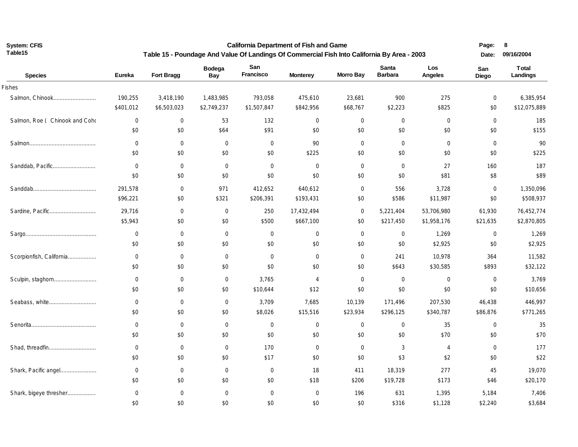**California Department of Fish and Game Table 15 - Poundage And Value Of Landings Of Commercial Fish Into California By Area - 2003** **Page: 8** 

| <b>Species</b>                 | <b>Eureka</b>    | <b>Fort Bragg</b> | <b>Bodega</b><br><b>Bay</b> | San<br>Francisco | <b>Monterey</b> | <b>Morro Bay</b> | Santa<br><b>Barbara</b> | Los<br>Angeles | San<br>Diego     | Total<br>Landings |
|--------------------------------|------------------|-------------------|-----------------------------|------------------|-----------------|------------------|-------------------------|----------------|------------------|-------------------|
| Fishes                         |                  |                   |                             |                  |                 |                  |                         |                |                  |                   |
| Salmon, Chinook                | 190,255          | 3,418,190         | 1,483,985                   | 793,058          | 475,610         | 23,681           | 900                     | 275            | $\boldsymbol{0}$ | 6,385,954         |
|                                | \$401,012        | \$6,503,023       | \$2,749,237                 | \$1,507,847      | \$842,956       | \$68,767         | \$2,223                 | \$825          | \$0              | \$12,075,889      |
| Salmon, Roe ( Chinook and Coho | $\boldsymbol{0}$ | $\mathbf 0$       | 53                          | 132              | $\mathbf 0$     | $\mathbf 0$      | $\overline{0}$          | $\mathbf 0$    | $\mathbf 0$      | 185               |
|                                | \$0              | \$0               | \$64                        | \$91             | \$0             | \$0              | \$0                     | \$0            | \$0              | \$155             |
|                                | $\mathbf 0$      | $\mathbf 0$       | $\mathbf 0$                 | $\overline{0}$   | 90              | $\mathbf 0$      | $\overline{0}$          | $\mathbf 0$    | $\mathbf 0$      | 90                |
|                                | \$0              | \$0               | \$0                         | \$0              | \$225           | \$0              | \$0                     | \$0            | \$0              | \$225             |
| Sanddab, Pacific               | $\mathbf 0$      | $\mathbf 0$       | $\overline{0}$              | $\overline{0}$   | $\mathbf 0$     | $\mathbf 0$      | $\mathbf 0$             | 27             | 160              | 187               |
|                                | \$0              | \$0               | \$0                         | \$0              | \$0             | \$0              | \$0                     | \$81           | \$8              | \$89              |
|                                | 291,578          | $\mathbf 0$       | 971                         | 412,652          | 640,612         | $\mathbf 0$      | 556                     | 3,728          | $\mathbf 0$      | 1,350,096         |
|                                | \$96,221         | \$0               | \$321                       | \$206,391        | \$193,431       | \$0              | \$586                   | \$11,987       | \$0              | \$508,937         |
|                                | 29,716           | $\mathbf 0$       | $\mathbf 0$                 | 250              | 17,432,494      | $\mathbf 0$      | 5,221,404               | 53,706,980     | 61,930           | 76,452,774        |
|                                | \$5,943          | \$0               | \$0                         | \$500            | \$667,100       | \$0              | \$217,450               | \$1,958,176    | \$21,635         | \$2,870,805       |
|                                | $\mathbf 0$      | $\mathbf 0$       | $\mathbf 0$                 | $\overline{0}$   | $\mathbf{0}$    | $\mathbf{0}$     | $\overline{0}$          | 1,269          | $\mathbf 0$      | 1,269             |
|                                | \$0              | \$0               | \$0                         | \$0              | \$0             | \$0              | \$0                     | \$2,925        | \$0              | \$2,925           |
| Scorpionfish, California       | $\mathbf 0$      | $\mathbf 0$       | $\mathbf 0$                 | $\overline{0}$   | $\mathbf 0$     | $\mathbf 0$      | 241                     | 10,978         | 364              | 11,582            |
|                                | \$0              | \$0               | \$0                         | \$0              | \$0             | \$0              | \$643                   | \$30,585       | \$893            | \$32,122          |
| Sculpin, staghorn              | $\mathbf 0$      | $\mathbf 0$       | $\overline{0}$              | 3,765            | $\overline{4}$  | $\mathbf 0$      | $\overline{0}$          | $\overline{0}$ | $\overline{0}$   | 3,769             |
|                                | \$0              | \$0               | \$0                         | \$10,644         | \$12            | \$0              | \$0                     | \$0            | \$0              | \$10,656          |
|                                | $\mathbf 0$      | $\mathbf 0$       | $\overline{0}$              | 3,709            | 7,685           | 10,139           | 171,496                 | 207,530        | 46,438           | 446,997           |
|                                | \$0              | \$0               | \$0                         | \$8,026          | \$15,516        | \$23,934         | \$296,125               | \$340,787      | \$86,876         | \$771,265         |
|                                | $\mathbf 0$      | $\mathbf 0$       | $\mathbf 0$                 | $\overline{0}$   | $\mathbf 0$     | 0                | $\overline{0}$          | 35             | $\mathbf 0$      | 35                |
|                                | \$0              | \$0               | \$0                         | \$0              | \$0             | \$0              | \$0                     | \$70           | \$0              | \$70              |
| Shad, threadfin                | $\mathbf 0$      | $\mathbf 0$       | $\mathbf 0$                 | 170              | $\mathbf 0$     | $\mathbf 0$      | 3                       | $\overline{4}$ | $\mathbf 0$      | 177               |
|                                | \$0              | \$0               | \$0                         | \$17             | \$0             | \$0              | \$3                     | \$2            | \$0              | \$22              |
| Shark, Pacific angel           | $\mathbf 0$      | $\mathbf 0$       | $\mathbf 0$                 | $\overline{0}$   | 18              | 411              | 18,319                  | 277            | 45               | 19,070            |
|                                | \$0              | \$0               | \$0                         | \$0              | \$18            | \$206            | \$19,728                | \$173          | \$46             | \$20,170          |
| Shark, bigeye thresher         | $\boldsymbol{0}$ | 0                 | $\mathbf 0$                 | $\mathbf 0$      | 0               | 196              | 631                     | 1,395          | 5,184            | 7,406             |
|                                | \$0              | \$0               | \$0                         | \$0              | \$0             | \$0              | \$316                   | \$1,128        | \$2,240          | \$3,684           |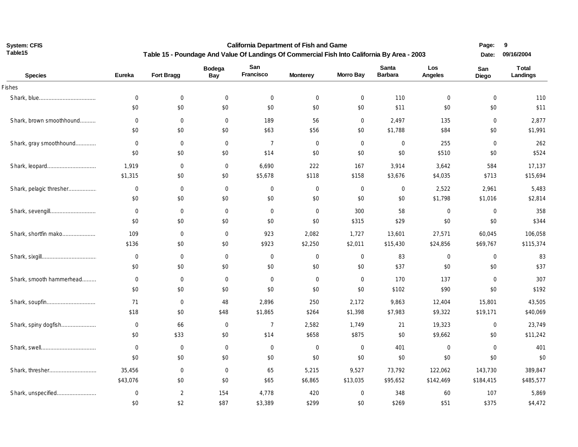**California Department of Fish and Game Table 15 - Poundage And Value Of Landings Of Commercial Fish Into California By Area - 2003** **Page: 9 Date: 09/16/2004**

| <b>Species</b>           | <b>Eureka</b>    | Fort Bragg       | <b>Bodega</b><br>Bay | San<br>Francisco | <b>Monterey</b>  | <b>Morro Bay</b> | Santa<br><b>Barbara</b> | Los<br>Angeles   | San<br>Diego | <b>Total</b><br>Landings |
|--------------------------|------------------|------------------|----------------------|------------------|------------------|------------------|-------------------------|------------------|--------------|--------------------------|
| Fishes                   |                  |                  |                      |                  |                  |                  |                         |                  |              |                          |
|                          | $\overline{0}$   | $\mathbf 0$      | $\mathbf 0$          | $\overline{0}$   | $\overline{0}$   | $\mathbf 0$      | 110                     | $\mathbf 0$      | $\mathbf 0$  | 110                      |
|                          | \$0              | \$0              | \$0                  | \$0              | \$0              | \$0              | \$11                    | \$0              | \$0          | \$11                     |
| Shark, brown smoothhound | $\mathbf 0$      | $\mathbf 0$      | $\mathbf 0$          | 189              | 56               | $\mathbf 0$      | 2,497                   | 135              | $\mathbf 0$  | 2,877                    |
|                          | \$0              | \$0              | \$0                  | \$63             | \$56             | \$0              | \$1,788                 | \$84             | \$0          | \$1,991                  |
| Shark, gray smoothhound  | $\mathbf 0$      | $\mathbf 0$      | $\mathbf 0$          | $\overline{7}$   | $\overline{0}$   | $\mathbf 0$      | $\overline{0}$          | 255              | $\mathbf 0$  | 262                      |
|                          | \$0              | \$0              | \$0                  | \$14             | \$0              | \$0              | \$0                     | \$510            | \$0          | \$524                    |
|                          | 1,919            | $\mathbf 0$      | $\mathbf 0$          | 6,690            | 222              | 167              | 3,914                   | 3,642            | 584          | 17,137                   |
|                          | \$1,315          | \$0              | \$0                  | \$5,678          | \$118            | \$158            | \$3,676                 | \$4,035          | \$713        | \$15,694                 |
| Shark, pelagic thresher  | $\mathbf 0$      | $\mathbf 0$      | $\mathbf 0$          | $\mathbf 0$      | $\mathbf 0$      | $\mathbf 0$      | $\overline{0}$          | 2,522            | 2,961        | 5,483                    |
|                          | \$0              | \$0              | \$0                  | \$0              | \$0              | \$0              | \$0                     | \$1,798          | \$1,016      | \$2,814                  |
| Shark, sevengill         | $\mathbf 0$      | $\mathbf 0$      | $\mathbf 0$          | 0                | $\mathbf 0$      | 300              | 58                      | $\mathbf 0$      | $\mathbf 0$  | 358                      |
|                          | \$0              | \$0              | \$0                  | \$0              | \$0              | \$315            | \$29                    | \$0              | \$0          | \$344                    |
| Shark, shortfin mako     | 109              | $\overline{0}$   | $\mathbf{0}$         | 923              | 2,082            | 1,727            | 13,601                  | 27,571           | 60,045       | 106,058                  |
|                          | \$136            | \$0              | \$0                  | \$923            | \$2,250          | \$2,011          | \$15,430                | \$24,856         | \$69,767     | \$115,374                |
|                          | $\mathbf 0$      | $\mathbf 0$      | $\mathbf 0$          | 0                | $\overline{0}$   | $\mathbf 0$      | 83                      | $\mathbf 0$      | $\mathbf 0$  | 83                       |
|                          | \$0              | \$0              | \$0                  | \$0              | \$0              | \$0              | \$37                    | \$0              | \$0          | \$37                     |
| Shark, smooth hammerhead | $\mathbf 0$      | $\overline{0}$   | $\mathbf{0}$         | $\mathbf{0}$     | $\overline{0}$   | $\mathbf 0$      | 170                     | 137              | $\mathbf 0$  | 307                      |
|                          | \$0              | \$0              | \$0                  | \$0              | \$0              | \$0              | \$102                   | \$90             | \$0          | \$192                    |
| Shark, soupfin           | 71               | $\mathbf 0$      | 48                   | 2,896            | 250              | 2,172            | 9,863                   | 12,404           | 15,801       | 43,505                   |
|                          | \$18             | \$0              | \$48                 | \$1,865          | \$264            | \$1,398          | \$7,983                 | \$9,322          | \$19,171     | \$40,069                 |
| Shark, spiny dogfish     | $\mathbf 0$      | 66               | $\mathbf 0$          | $\overline{7}$   | 2,582            | 1,749            | 21                      | 19,323           | $\mathbf 0$  | 23,749                   |
|                          | \$0              | \$33             | \$0                  | \$14             | \$658            | \$875            | \$0                     | \$9,662          | \$0          | \$11,242                 |
|                          | $\boldsymbol{0}$ | $\boldsymbol{0}$ | $\mathbf 0$          | $\mathbf 0$      | $\boldsymbol{0}$ | $\mathbf 0$      | 401                     | $\boldsymbol{0}$ | $\mathbf 0$  | 401                      |
|                          | \$0              | \$0              | \$0                  | \$0              | \$0              | \$0              | \$0                     | \$0              | \$0          | \$0                      |
|                          | 35,456           | $\mathbf 0$      | $\mathbf 0$          | 65               | 5,215            | 9,527            | 73,792                  | 122,062          | 143,730      | 389,847                  |
|                          | \$43,076         | \$0              | \$0                  | \$65             | \$6,865          | \$13,035         | \$95,652                | \$142,469        | \$184,415    | \$485,577                |
| Shark, unspecified       | 0                | 2                | 154                  | 4,778            | 420              | $\mathbf 0$      | 348                     | 60               | 107          | 5,869                    |
|                          | \$0              | \$2              | \$87                 | \$3,389          | \$299            | \$0              | \$269                   | \$51             | \$375        | \$4,472                  |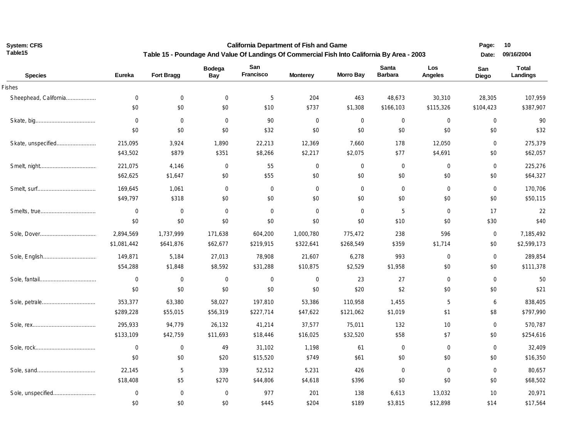**California Department of Fish and Game Table 15 - Poundage And Value Of Landings Of Commercial Fish Into California By Area - 2003** **Page: 10** 

| <b>Species</b>        | Eureka      | Fort Bragg       | <b>Bodega</b><br>Bay | San<br>Francisco | <b>Monterey</b> | <b>Morro Bay</b> | Santa<br><b>Barbara</b> | Los<br>Angeles | San<br>Diego | Total<br>Landings |
|-----------------------|-------------|------------------|----------------------|------------------|-----------------|------------------|-------------------------|----------------|--------------|-------------------|
| Fishes                |             |                  |                      |                  |                 |                  |                         |                |              |                   |
| Sheephead, California | $\mathbf 0$ | $\mathbf 0$      | $\mathbf 0$          | 5                | 204             | 463              | 48,673                  | 30,310         | 28,305       | 107,959           |
|                       | \$0         | \$0              | \$0                  | \$10             | \$737           | \$1,308          | \$166,103               | \$115,326      | \$104,423    | \$387,907         |
|                       | $\mathbf 0$ | $\overline{0}$   | $\mathbf 0$          | 90               | $\mathbf 0$     | $\mathbf 0$      | $\mathbf 0$             | $\mathbf 0$    | $\mathbf 0$  | 90                |
|                       | \$0         | \$0              | \$0                  | \$32             | \$0             | \$0              | \$0                     | \$0            | \$0          | \$32              |
| Skate, unspecified    | 215,095     | 3,924            | 1,890                | 22,213           | 12,369          | 7,660            | 178                     | 12,050         | $\mathbf 0$  | 275,379           |
|                       | \$43,502    | \$879            | \$351                | \$8,266          | \$2,217         | \$2,075          | \$77                    | \$4,691        | \$0          | \$62,057          |
|                       | 221,075     | 4,146            | $\boldsymbol{0}$     | 55               | $\mathbf 0$     | $\mathbf 0$      | $\mathbf 0$             | $\mathbf 0$    | $\mathbf 0$  | 225,276           |
|                       | \$62,625    | \$1,647          | \$0                  | \$55             | \$0             | \$0              | \$0                     | \$0            | \$0          | \$64,327          |
|                       | 169,645     | 1,061            | $\mathbf 0$          | $\mathbf 0$      | $\mathbf 0$     | $\mathbf 0$      | $\mathbf 0$             | $\mathbf 0$    | $\mathbf 0$  | 170,706           |
|                       | \$49,797    | \$318            | \$0                  | \$0              | \$0             | \$0              | \$0                     | \$0            | \$0          | \$50,115          |
|                       | $\mathbf 0$ | $\mathbf 0$      | $\mathbf 0$          | $\mathbf 0$      | $\mathbf 0$     | $\mathbf 0$      | 5                       | $\mathbf 0$    | 17           | 22                |
|                       | \$0         | \$0              | \$0                  | \$0              | \$0             | \$0              | \$10                    | \$0            | \$30         | \$40              |
|                       | 2,894,569   | 1,737,999        | 171,638              | 604,200          | 1,000,780       | 775,472          | 238                     | 596            | $\mathbf 0$  | 7,185,492         |
|                       | \$1,081,442 | \$641,876        | \$62,677             | \$219,915        | \$322,641       | \$268,549        | \$359                   | \$1,714        | \$0          | \$2,599,173       |
|                       | 149,871     | 5,184            | 27,013               | 78,908           | 21,607          | 6,278            | 993                     | $\mathbf 0$    | $\mathbf 0$  | 289,854           |
|                       | \$54,288    | \$1,848          | \$8,592              | \$31,288         | \$10,875        | \$2,529          | \$1,958                 | \$0            | \$0          | \$111,378         |
|                       | $\mathbf 0$ | $\mathbf 0$      | $\mathbf 0$          | $\overline{0}$   | $\mathbf 0$     | 23               | 27                      | 0              | $\mathbf 0$  | 50                |
|                       | \$0         | \$0              | \$0                  | \$0              | \$0             | \$20             | \$2                     | \$0            | \$0          | \$21              |
|                       | 353,377     | 63,380           | 58,027               | 197,810          | 53,386          | 110,958          | 1,455                   | 5              | 6            | 838,405           |
|                       | \$289,228   | \$55,015         | \$56,319             | \$227,714        | \$47,622        | \$121,062        | \$1,019                 | \$1            | \$8          | \$797,990         |
|                       | 295,933     | 94,779           | 26,132               | 41,214           | 37,577          | 75,011           | 132                     | 10             | $\mathbf 0$  | 570,787           |
|                       | \$133,109   | \$42,759         | \$11,693             | \$18,446         | \$16,025        | \$32,520         | \$58                    | \$7            | \$0          | \$254,616         |
|                       | 0           | $\overline{0}$   | 49                   | 31,102           | 1,198           | 61               | $\mathbf 0$             | 0              | $\mathbf 0$  | 32,409            |
|                       | \$0         | \$0              | \$20                 | \$15,520         | \$749           | \$61             | \$0                     | \$0            | \$0          | \$16,350          |
|                       | 22,145      | 5                | 339                  | 52,512           | 5,231           | 426              | $\mathbf 0$             | $\mathbf 0$    | $\mathbf 0$  | 80,657            |
|                       | \$18,408    | \$5              | \$270                | \$44,806         | \$4,618         | \$396            | \$0                     | \$0            | \$0          | \$68,502          |
| Sole, unspecified     | $\mathbf 0$ | $\boldsymbol{0}$ | $\mathbf 0$          | 977              | 201             | 138              | 6,613                   | 13,032         | 10           | 20,971            |
|                       | \$0         | \$0              | \$0                  | \$445            | \$204           | \$189            | \$3,815                 | \$12,898       | \$14         | \$17,564          |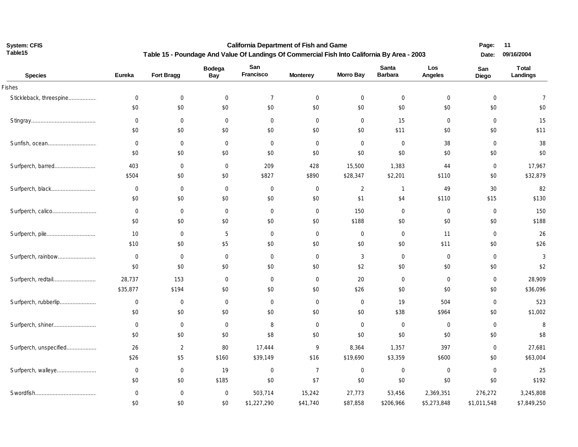**California Department of Fish and Game Table 15 - Poundage And Value Of Landings Of Commercial Fish Into California By Area - 2003** **Page: 11** 

| <b>Species</b>          | Eureka         | Fort Bragg       | <b>Bodega</b><br><b>Bay</b> | San<br>Francisco | <b>Monterey</b> | <b>Morro Bay</b> | Santa<br><b>Barbara</b> | Los<br>Angeles | San<br>Diego   | Total<br><b>Landings</b> |
|-------------------------|----------------|------------------|-----------------------------|------------------|-----------------|------------------|-------------------------|----------------|----------------|--------------------------|
| Fishes                  |                |                  |                             |                  |                 |                  |                         |                |                |                          |
| Stickleback, threespine | $\mathbf 0$    | $\mathbf 0$      | $\mathbf 0$                 | $\overline{7}$   | $\mathbf 0$     | $\mathbf 0$      | $\overline{0}$          | $\mathbf 0$    | $\mathbf 0$    | $\overline{7}$           |
|                         | \$0            | \$0              | \$0                         | \$0              | \$0             | \$0              | \$0                     | \$0            | \$0            | \$0                      |
|                         | $\mathbf 0$    | $\mathbf 0$      | $\mathbf 0$                 | $\mathbf 0$      | $\mathbf 0$     | $\mathbf 0$      | 15                      | $\mathbf 0$    | $\mathbf 0$    | 15                       |
|                         | \$0            | \$0              | \$0                         | \$0              | \$0             | \$0              | \$11                    | \$0            | \$0            | \$11                     |
| Sunfish, ocean          | $\mathbf 0$    | $\mathbf 0$      | $\mathbf 0$                 | $\mathbf 0$      | $\mathbf 0$     | $\mathbf{0}$     | $\overline{0}$          | 38             | $\mathbf 0$    | 38                       |
|                         | \$0            | \$0              | \$0                         | \$0              | \$0             | \$0              | \$0                     | \$0            | \$0            | \$0                      |
| Surfperch, barred       | 403            | $\overline{0}$   | $\mathbf 0$                 | 209              | 428             | 15,500           | 1,383                   | 44             | $\overline{0}$ | 17,967                   |
|                         | \$504          | \$0              | \$0                         | \$827            | \$890           | \$28,347         | \$2,201                 | \$110          | \$0            | \$32,879                 |
| Surfperch, black        | $\mathbf 0$    | $\mathbf 0$      | $\mathbf 0$                 | $\mathbf 0$      | $\mathbf 0$     | $\overline{2}$   | $\mathbf{1}$            | 49             | 30             | 82                       |
|                         | \$0            | \$0              | \$0                         | \$0              | \$0             | \$1              | \$4                     | \$110          | \$15           | \$130                    |
|                         | $\mathbf 0$    | $\mathbf 0$      | $\mathbf 0$                 | $\mathbf 0$      | $\mathbf 0$     | 150              | $\overline{0}$          | $\mathbf 0$    | $\mathbf 0$    | 150                      |
|                         | \$0            | \$0              | \$0                         | \$0              | \$0             | \$188            | \$0                     | \$0            | \$0            | \$188                    |
| Surfperch, pile         | 10             | $\mathbf 0$      | 5                           | $\mathbf 0$      | $\mathbf 0$     | $\mathbf 0$      | $\mathbf 0$             | 11             | $\mathbf 0$    | 26                       |
|                         | \$10           | \$0              | \$5                         | \$0              | \$0             | \$0              | \$0                     | \$11           | \$0            | \$26                     |
| Surfperch, rainbow      | $\mathbf 0$    | $\mathbf 0$      | $\mathbf 0$                 | $\mathbf 0$      | $\mathbf 0$     | 3                | $\mathbf{0}$            | $\mathbf 0$    | $\overline{0}$ | $\mathbf{3}$             |
|                         | \$0            | \$0              | \$0                         | \$0              | \$0             | \$2              | \$0                     | \$0            | \$0            | \$2                      |
| Surfperch, redtail      | 28,737         | 153              | $\overline{0}$              | $\mathbf 0$      | $\mathbf 0$     | 20               | $\mathbf 0$             | $\mathbf 0$    | $\mathbf 0$    | 28,909                   |
|                         | \$35,877       | \$194            | \$0                         | \$0              | \$0             | \$26             | \$0                     | \$0            | \$0            | \$36,096                 |
| Surfperch, rubberlip    | $\mathbf 0$    | $\mathbf 0$      | $\mathbf 0$                 | $\mathbf 0$      | $\mathbf 0$     | $\mathbf 0$      | 19                      | 504            | $\mathbf 0$    | 523                      |
|                         | \$0            | \$0              | \$0                         | \$0              | \$0             | \$0              | \$38                    | \$964          | \$0            | \$1,002                  |
| Surfperch, shiner       | $\overline{0}$ | $\overline{0}$   | $\overline{0}$              | 8                | $\mathbf 0$     | $\mathbf{0}$     | $\overline{0}$          | $\overline{0}$ | $\overline{0}$ | 8                        |
|                         | \$0            | \$0              | \$0                         | \$8              | \$0             | \$0              | \$0                     | \$0            | \$0            | \$8                      |
| Surfperch, unspecified  | 26             | $\overline{2}$   | 80                          | 17,444           | 9               | 8,364            | 1,357                   | 397            | $\mathbf 0$    | 27,681                   |
|                         | \$26           | \$5              | \$160                       | \$39,149         | \$16            | \$19,690         | \$3,359                 | \$600          | \$0            | \$63,004                 |
| Surfperch, walleye      | $\mathbf 0$    | $\boldsymbol{0}$ | 19                          | $\mathbf 0$      | $\overline{7}$  | $\mathbf 0$      | $\mathbf 0$             | $\mathbf 0$    | $\mathbf 0$    | 25                       |
|                         | \$0            | \$0              | \$185                       | \$0              | \$7             | \$0              | \$0                     | \$0            | \$0            | \$192                    |
|                         | $\mathbf 0$    | $\mathbf 0$      | $\mathbf 0$                 | 503,714          | 15,242          | 27,773           | 53,456                  | 2,369,351      | 276,272        | 3,245,808                |
|                         | \$0            | \$0              | \$0                         | \$1,227,290      | \$41,740        | \$87,858         | \$206,966               | \$5,273,848    | \$1,011,548    | \$7,849,250              |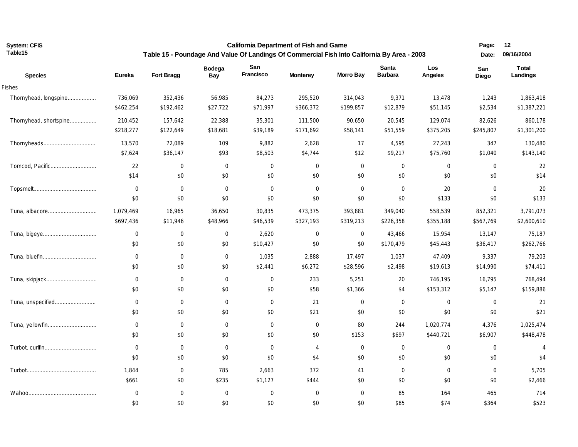**California Department of Fish and Game** 

**Page: 12** 

| Table15                |                  | Table 15 - Poundage And Value Of Landings Of Commercial Fish Into California By Area - 2003 |                             |                  |                 |                  |                                |                | Date:          | 09/16/2004               |
|------------------------|------------------|---------------------------------------------------------------------------------------------|-----------------------------|------------------|-----------------|------------------|--------------------------------|----------------|----------------|--------------------------|
| <b>Species</b>         | <b>Eureka</b>    | Fort Bragg                                                                                  | <b>Bodega</b><br><b>Bay</b> | San<br>Francisco | <b>Monterey</b> | <b>Morro Bay</b> | <b>Santa</b><br><b>Barbara</b> | Los<br>Angeles | San<br>Diego   | <b>Total</b><br>Landings |
| <b>Fishes</b>          |                  |                                                                                             |                             |                  |                 |                  |                                |                |                |                          |
| Thornyhead, longspine  | 736,069          | 352,436                                                                                     | 56,985                      | 84,273           | 295,520         | 314,043          | 9,371                          | 13,478         | 1,243          | 1,863,418                |
|                        | \$462,254        | \$192,462                                                                                   | \$27,722                    | \$71,997         | \$366,372       | \$199,857        | \$12,879                       | \$51,145       | \$2,534        | \$1,387,221              |
| Thornyhead, shortspine | 210,452          | 157,642                                                                                     | 22,388                      | 35,301           | 111,500         | 90,650           | 20,545                         | 129,074        | 82,626         | 860,178                  |
|                        | \$218,277        | \$122,649                                                                                   | \$18,681                    | \$39,189         | \$171,692       | \$58,141         | \$51,559                       | \$375,205      | \$245,807      | \$1,301,200              |
|                        | 13,570           | 72,089                                                                                      | 109                         | 9,882            | 2,628           | 17               | 4,595                          | 27,243         | 347            | 130,480                  |
|                        | \$7,624          | \$36,147                                                                                    | \$93                        | \$8,503          | \$4,744         | \$12             | \$9,217                        | \$75,760       | \$1,040        | \$143,140                |
| Tomcod, Pacific        | 22               | $\overline{0}$                                                                              | $\mathbf 0$                 | $\boldsymbol{0}$ | $\mathbf 0$     | $\overline{0}$   | $\boldsymbol{0}$               | $\mathbf 0$    | $\overline{0}$ | 22                       |
|                        | \$14             | \$0                                                                                         | \$0                         | \$0              | \$0             | \$0              | \$0                            | \$0            | \$0            | \$14                     |
|                        | $\mathbf 0$      | $\overline{0}$                                                                              | $\overline{0}$              | $\mathbf 0$      | $\mathbf{0}$    | $\mathbf 0$      | 0                              | 20             | $\mathbf 0$    | 20                       |
|                        | \$0              | \$0                                                                                         | \$0                         | \$0              | \$0             | \$0              | \$0                            | \$133          | \$0            | \$133                    |
|                        | 1,079,469        | 16,965                                                                                      | 36,650                      | 30,835           | 473,375         | 393,881          | 349,040                        | 558,539        | 852,321        | 3,791,073                |
|                        | \$697,436        | \$11,946                                                                                    | \$48,966                    | \$46,539         | \$327,193       | \$319,213        | \$226,358                      | \$355,188      | \$567,769      | \$2,600,610              |
|                        | $\mathbf 0$      | $\overline{0}$                                                                              | $\mathbf 0$                 | 2,620            | $\mathbf 0$     | $\mathbf 0$      | 43,466                         | 15,954         | 13,147         | 75,187                   |
|                        | \$0              | \$0                                                                                         | \$0                         | \$10,427         | \$0             | \$0              | \$170,479                      | \$45,443       | \$36,417       | \$262,766                |
|                        | $\mathbf 0$      | $\overline{0}$                                                                              | $\mathbf 0$                 | 1,035            | 2,888           | 17,497           | 1,037                          | 47,409         | 9,337          | 79,203                   |
|                        | \$0              | \$0                                                                                         | \$0                         | \$2,441          | \$6,272         | \$28,596         | \$2,498                        | \$19,613       | \$14,990       | \$74,411                 |
|                        | $\mathbf 0$      | $\mathbf 0$                                                                                 | $\mathbf 0$                 | 0                | 233             | 5,251            | 20                             | 746,195        | 16,795         | 768,494                  |
|                        | \$0              | \$0                                                                                         | \$0                         | \$0              | \$58            | \$1,366          | \$4                            | \$153,312      | \$5,147        | \$159,886                |
| Tuna, unspecified      | $\boldsymbol{0}$ | $\mathbf 0$                                                                                 | $\mathbf 0$                 | $\mathbf 0$      | 21              | $\mathbf 0$      | $\mathbf 0$                    | $\mathbf 0$    | $\mathbf 0$    | 21                       |
|                        | \$0              | \$0                                                                                         | \$0                         | \$0              | \$21            | \$0              | \$0                            | \$0            | \$0            | \$21                     |
|                        | $\mathbf 0$      | $\overline{0}$                                                                              | $\overline{0}$              | $\mathbf 0$      | 0               | 80               | 244                            | 1,020,774      | 4,376          | 1,025,474                |
|                        | \$0              | \$0                                                                                         | \$0                         | \$0              | \$0             | \$153            | \$697                          | \$440,721      | \$6,907        | \$448,478                |
|                        | $\mathbf 0$      | $\mathbf 0$                                                                                 | $\mathbf 0$                 | $\mathbf 0$      | $\overline{4}$  | $\mathbf 0$      | 0                              | $\mathbf 0$    | $\mathbf 0$    | $\overline{4}$           |
|                        | \$0              | $\$0$                                                                                       | \$0                         | \$0              | \$4             | \$0              | \$0                            | \$0            | \$0            | \$4                      |
|                        | 1,844            | $\overline{0}$                                                                              | 785                         | 2,663            | 372             | 41               | $\mathbf 0$                    | $\mathbf 0$    | $\mathbf 0$    | 5,705                    |
|                        | \$661            | \$0                                                                                         | \$235                       | \$1,127          | \$444           | \$0              | \$0                            | \$0            | \$0            | \$2,466                  |
|                        | $\boldsymbol{0}$ | $\overline{0}$                                                                              | $\mathbf 0$                 | $\mathbf 0$      | $\mathbf 0$     | $\mathbf 0$      | 85                             | 164            | 465            | 714                      |
|                        | \$0              | \$0                                                                                         | \$0                         | \$0              | \$0             | \$0              | \$85                           | \$74           | \$364          | \$523                    |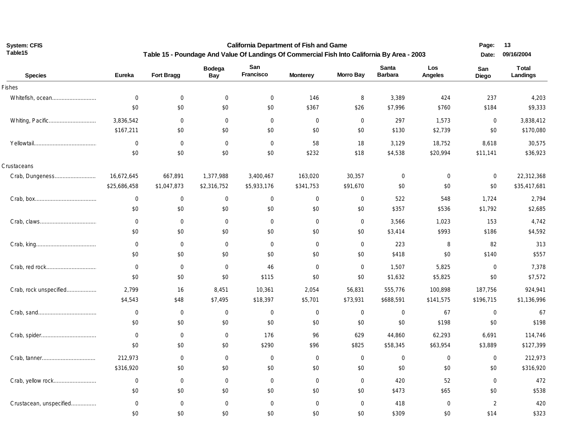**California Department of Fish and Game Table 15 - Poundage And Value Of Landings Of Commercial Fish Into California By Area - 2003** **Page: 13** 

| <b>Species</b>          | <b>Eureka</b>    | Fort Bragg       | <b>Bodega</b><br>Bay | San<br>Francisco | <b>Monterey</b>  | <b>Morro Bay</b> | Santa<br><b>Barbara</b> | Los<br>Angeles | San<br>Diego   | <b>Total</b><br>Landings |
|-------------------------|------------------|------------------|----------------------|------------------|------------------|------------------|-------------------------|----------------|----------------|--------------------------|
| Fishes                  |                  |                  |                      |                  |                  |                  |                         |                |                |                          |
| Whitefish, ocean        | $\boldsymbol{0}$ | $\overline{0}$   | $\mathbf 0$          | $\mathbf 0$      | 146              | 8                | 3,389                   | 424            | 237            | 4,203                    |
|                         | \$0              | \$0              | \$0                  | \$0              | \$367            | \$26             | \$7,996                 | \$760          | \$184          | \$9,333                  |
| Whiting, Pacific        | 3,836,542        | $\overline{0}$   | $\Omega$             | $\mathbf 0$      | $\mathbf 0$      | $\mathbf 0$      | 297                     | 1,573          | $\mathbf 0$    | 3,838,412                |
|                         | \$167,211        | \$0              | \$0                  | \$0              | \$0              | \$0              | \$130                   | \$2,739        | \$0            | \$170,080                |
|                         | $\boldsymbol{0}$ | $\overline{0}$   | $\mathbf 0$          | $\overline{0}$   | 58               | 18               | 3,129                   | 18,752         | 8,618          | 30,575                   |
|                         | \$0              | \$0              | \$0                  | \$0              | \$232            | \$18             | \$4,538                 | \$20,994       | \$11,141       | \$36,923                 |
| Crustaceans             |                  |                  |                      |                  |                  |                  |                         |                |                |                          |
| Crab, Dungeness         | 16,672,645       | 667,891          | 1,377,988            | 3,400,467        | 163,020          | 30,357           | $\mathbf 0$             | $\mathbf 0$    | $\mathbf 0$    | 22,312,368               |
|                         | \$25,686,458     | \$1,047,873      | \$2,316,752          | \$5,933,176      | \$341,753        | \$91,670         | \$0                     | \$0            | \$0            | \$35,417,681             |
|                         | $\mathbf 0$      | $\boldsymbol{0}$ | $\mathbf 0$          | $\mathbf 0$      | $\mathbf 0$      | $\mathbf 0$      | 522                     | 548            | 1,724          | 2,794                    |
|                         | \$0              | \$0              | \$0                  | \$0              | \$0              | \$0              | \$357                   | \$536          | \$1,792        | \$2,685                  |
|                         | $\mathbf 0$      | $\overline{0}$   | $\mathbf 0$          | 0                | $\mathbf 0$      | $\mathbf 0$      | 3,566                   | 1,023          | 153            | 4,742                    |
|                         | \$0              | \$0              | \$0                  | \$0              | \$0              | \$0              | \$3,414                 | \$993          | \$186          | \$4,592                  |
|                         | $\mathbf 0$      | $\overline{0}$   | $\mathbf 0$          | $\overline{0}$   | $\mathbf 0$      | $\mathbf 0$      | 223                     | 8              | 82             | 313                      |
|                         | \$0              | \$0              | \$0                  | \$0              | \$0              | \$0              | \$418                   | \$0            | \$140          | \$557                    |
|                         | $\mathbf 0$      | $\overline{0}$   | $\mathbf 0$          | 46               | $\mathbf 0$      | $\mathbf 0$      | 1,507                   | 5,825          | $\mathbf 0$    | 7,378                    |
|                         | \$0              | \$0              | \$0                  | \$115            | \$0              | \$0              | \$1,632                 | \$5,825        | \$0            | \$7,572                  |
| Crab, rock unspecified  | 2,799            | 16               | 8,451                | 10,361           | 2,054            | 56,831           | 555,776                 | 100,898        | 187,756        | 924,941                  |
|                         | \$4,543          | \$48             | \$7,495              | \$18,397         | \$5,701          | \$73,931         | \$688,591               | \$141,575      | \$196,715      | \$1,136,996              |
|                         | $\boldsymbol{0}$ | $\boldsymbol{0}$ | $\boldsymbol{0}$     | $\mathbf 0$      | $\boldsymbol{0}$ | $\boldsymbol{0}$ | $\overline{0}$          | 67             | $\mathbf 0$    | 67                       |
|                         | \$0              | \$0              | \$0                  | \$0              | \$0              | \$0              | \$0                     | \$198          | \$0            | \$198                    |
|                         | $\mathbf 0$      | $\overline{0}$   | $\mathbf{0}$         | 176              | 96               | 629              | 44,860                  | 62,293         | 6,691          | 114,746                  |
|                         | \$0              | \$0              | \$0                  | \$290            | \$96             | \$825            | \$58,345                | \$63,954       | \$3,889        | \$127,399                |
|                         | 212,973          | $\overline{0}$   | $\mathbf{0}$         | 0                | $\mathbf 0$      | $\mathbf 0$      | $\mathbf 0$             | $\mathbf 0$    | $\mathbf 0$    | 212,973                  |
|                         | \$316,920        | \$0              | \$0                  | \$0              | \$0              | \$0              | \$0                     | \$0            | \$0            | \$316,920                |
|                         | $\mathbf 0$      | $\overline{0}$   | $\mathbf 0$          | 0                | $\mathbf 0$      | $\mathbf{0}$     | 420                     | 52             | $\mathbf 0$    | 472                      |
|                         | \$0              | \$0              | \$0                  | \$0              | \$0              | \$0              | \$473                   | \$65           | \$0            | \$538                    |
| Crustacean, unspecified | $\mathbf 0$      | $\overline{0}$   | $\mathbf 0$          | $\mathbf 0$      | $\mathbf 0$      | $\mathbf 0$      | 418                     | $\mathbf 0$    | $\overline{2}$ | 420                      |
|                         | \$0              | \$0              | \$0                  | \$0              | \$0              | \$0              | \$309                   | \$0            | \$14           | \$323                    |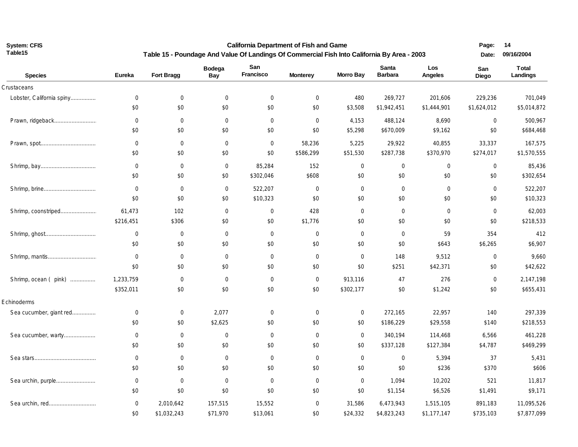**California Department of Fish and Game** 

 **14**

| Table15                   | Table 15 - Poundage And Value Of Landings Of Commercial Fish Into California By Area - 2003 |                       |                       |                       |                     |                    |                         |                        |                        | 09/16/2004               |
|---------------------------|---------------------------------------------------------------------------------------------|-----------------------|-----------------------|-----------------------|---------------------|--------------------|-------------------------|------------------------|------------------------|--------------------------|
| <b>Species</b>            | Eureka                                                                                      | Fort Bragg            | <b>Bodega</b><br>Bay  | San<br>Francisco      | <b>Monterey</b>     | <b>Morro Bay</b>   | Santa<br><b>Barbara</b> | Los<br>Angeles         | San<br><b>Diego</b>    | <b>Total</b><br>Landings |
| Crustaceans               |                                                                                             |                       |                       |                       |                     |                    |                         |                        |                        |                          |
| Lobster, California spiny | 0<br>\$0                                                                                    | $\mathbf 0$<br>\$0    | $\overline{0}$<br>\$0 | $\mathbf 0$<br>\$0    | $\mathbf 0$<br>\$0  | 480<br>\$3,508     | 269,727<br>\$1,942,451  | 201,606<br>\$1,444,901 | 229,236<br>\$1,624,012 | 701,049<br>\$5,014,872   |
|                           | $\mathbf 0$                                                                                 | $\overline{0}$        | $\mathbf 0$           | $\mathbf 0$           | $\mathbf 0$         | 4,153              | 488,124                 | 8,690                  | $\mathbf 0$            | 500,967                  |
|                           | \$0                                                                                         | \$0                   | \$0                   | \$0                   | \$0                 | \$5,298            | \$670,009               | \$9,162                | \$0                    | \$684,468                |
|                           | $\boldsymbol{0}$<br>\$0                                                                     | $\overline{0}$<br>\$0 | $\mathbf 0$<br>\$0    | $\overline{0}$<br>\$0 | 58,236<br>\$586,299 | 5,225<br>\$51,530  | 29,922<br>\$287,738     | 40,855<br>\$370,970    | 33,337<br>\$274,017    | 167,575<br>\$1,570,555   |
|                           | $\boldsymbol{0}$                                                                            | $\overline{0}$        | $\mathbf 0$           | 85,284                | 152                 | $\mathbf 0$        | $\mathbf 0$             | $\mathbf 0$            | $\mathbf 0$            | 85,436                   |
|                           | \$0                                                                                         | \$0                   | \$0                   | \$302,046             | \$608               | \$0                | \$0                     | \$0                    | \$0                    | \$302,654                |
|                           | $\boldsymbol{0}$<br>\$0                                                                     | $\mathbf 0$<br>\$0    | $\mathbf 0$<br>\$0    | 522,207<br>\$10,323   | $\mathbf 0$<br>\$0  | $\mathbf 0$<br>\$0 | $\mathbf 0$<br>\$0      | $\mathbf 0$<br>\$0     | $\mathbf 0$<br>\$0     | 522,207<br>\$10,323      |
|                           |                                                                                             |                       |                       |                       |                     |                    |                         |                        |                        |                          |
| Shrimp, coonstriped       | 61,473<br>\$216,451                                                                         | 102<br>\$306          | $\mathbf 0$<br>\$0    | $\overline{0}$<br>\$0 | 428<br>\$1,776      | $\mathbf 0$<br>\$0 | $\mathbf 0$<br>\$0      | $\mathbf 0$<br>\$0     | $\mathbf 0$<br>\$0     | 62,003<br>\$218,533      |
|                           | $\mathbf 0$                                                                                 | $\overline{0}$        | $\mathbf 0$           | $\mathbf 0$           | $\mathbf 0$         | $\mathbf 0$        | $\mathbf 0$             | 59                     | 354                    | 412                      |
|                           | \$0                                                                                         | \$0                   | \$0                   | \$0                   | \$0                 | \$0                | \$0                     | \$643                  | \$6,265                | \$6,907                  |
|                           | $\mathbf 0$                                                                                 | $\mathbf 0$           | $\mathbf 0$           | $\mathbf 0$           | $\boldsymbol{0}$    | $\mathbf 0$        | 148                     | 9,512                  | $\mathbf 0$            | 9,660                    |
|                           | \$0                                                                                         | \$0                   | \$0                   | \$0                   | \$0                 | \$0                | \$251                   | \$42,371               | \$0                    | \$42,622                 |
| Shrimp, ocean (pink)      | 1,233,759                                                                                   | $\mathbf 0$           | $\mathbf 0$           | $\mathbf 0$           | $\mathbf 0$         | 913,116            | 47                      | 276                    | $\mathbf 0$            | 2,147,198                |
|                           | \$352,011                                                                                   | \$0                   | \$0                   | \$0                   | \$0                 | \$302,177          | \$0                     | \$1,242                | \$0                    | \$655,431                |
| Echinoderms               |                                                                                             |                       |                       |                       |                     |                    |                         |                        |                        |                          |
| Sea cucumber, giant red   | $\mathbf 0$                                                                                 | $\mathbf 0$           | 2,077                 | $\mathbf 0$           | $\boldsymbol{0}$    | $\mathbf 0$        | 272,165                 | 22,957                 | 140                    | 297,339                  |
|                           | \$0                                                                                         | \$0                   | \$2,625               | \$0                   | \$0                 | \$0                | \$186,229               | \$29,558               | \$140                  | \$218,553                |
| Sea cucumber, warty       | $\pmb{0}$                                                                                   | $\mathbf 0$           | $\mathbf 0$           | $\mathbf 0$           | $\boldsymbol{0}$    | $\mathbf 0$        | 340,194                 | 114,468                | 6,566                  | 461,228                  |
|                           | \$0                                                                                         | \$0                   | \$0                   | \$0                   | \$0                 | \$0                | \$337,128               | \$127,384              | \$4,787                | \$469,299                |
|                           | $\boldsymbol{0}$                                                                            | $\overline{0}$        | $\mathbf 0$           | $\mathbf 0$           | $\mathbf 0$         | $\mathbf 0$        | $\mathbf 0$             | 5,394                  | 37                     | 5,431                    |
|                           | \$0                                                                                         | \$0                   | \$0                   | \$0                   | \$0                 | \$0                | \$0                     | \$236                  | \$370                  | \$606                    |
| Sea urchin, purple        | $\mathbf 0$                                                                                 | $\mathbf 0$           | $\overline{0}$        | $\mathbf 0$           | $\mathbf 0$         | $\mathbf{0}$       | 1,094                   | 10,202                 | 521                    | 11,817                   |
|                           | \$0                                                                                         | \$0                   | \$0                   | \$0                   | \$0                 | \$0                | \$1,154                 | \$6,526                | \$1,491                | \$9,171                  |
| Sea urchin, red           | $\mathbf 0$                                                                                 | 2,010,642             | 157,515               | 15,552                | $\mathbf 0$         | 31,586             | 6,473,943               | 1,515,105              | 891,183                | 11,095,526               |
|                           | \$0                                                                                         | \$1,032,243           | \$71,970              | \$13,061              | \$0                 | \$24,332           | \$4,823,243             | \$1,177,147            | \$735,103              | \$7,877,099              |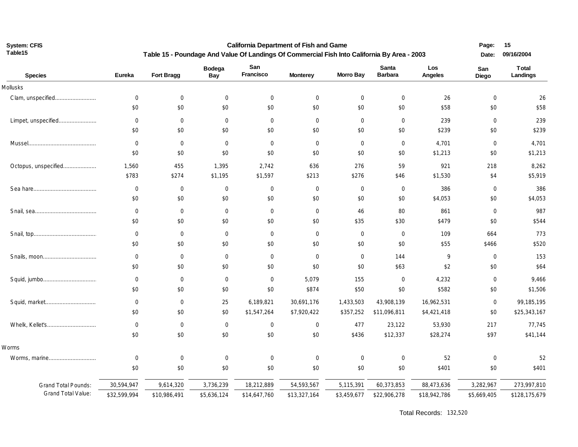**Table15**

**System: CFIS California Department of Fish and Game Table 15 - Poundage And Value Of Landings Of Commercial Fish Into California By Area - 2003**  **15 Date: 09/16/2004**

| <b>Species</b>             | Eureka           | Fort Bragg   | <b>Bodega</b><br>Bay | San<br>Francisco | <b>Monterey</b> | <b>Morro Bay</b> | <b>Santa</b><br><b>Barbara</b> | Los<br>Angeles | San<br>Diego | <b>Total</b><br>Landings |
|----------------------------|------------------|--------------|----------------------|------------------|-----------------|------------------|--------------------------------|----------------|--------------|--------------------------|
| Mollusks                   |                  |              |                      |                  |                 |                  |                                |                |              |                          |
| Clam, unspecified          | $\mathbf 0$      | $\mathbf 0$  | $\mathbf 0$          | $\mathbf 0$      | $\mathbf 0$     | $\mathbf 0$      | $\overline{0}$                 | 26             | $\mathbf 0$  | 26                       |
|                            | \$0              | \$0          | \$0                  | \$0              | \$0             | \$0              | \$0                            | \$58           | \$0          | \$58                     |
| Limpet, unspecified        | $\mathbf 0$      | $\mathbf 0$  | $\overline{0}$       | $\mathbf 0$      | $\mathbf 0$     | $\mathbf 0$      | $\mathbf 0$                    | 239            | $\mathbf 0$  | 239                      |
|                            | \$0              | \$0          | \$0                  | \$0              | \$0             | \$0              | \$0                            | \$239          | \$0          | \$239                    |
|                            | $\mathbf 0$      | $\mathbf 0$  | $\mathbf 0$          | $\mathbf 0$      | $\mathbf 0$     | $\mathbf 0$      | $\mathbf 0$                    | 4,701          | $\mathbf 0$  | 4,701                    |
|                            | \$0              | \$0          | \$0                  | \$0              | \$0             | \$0              | \$0                            | \$1,213        | \$0          | \$1,213                  |
| Octopus, unspecified       | 1,560            | 455          | 1,395                | 2,742            | 636             | 276              | 59                             | 921            | 218          | 8,262                    |
|                            | \$783            | \$274        | \$1,195              | \$1,597          | \$213           | \$276            | \$46                           | \$1,530        | \$4          | \$5,919                  |
|                            | $\overline{0}$   | $\mathbf 0$  | $\mathbf 0$          | $\overline{0}$   | $\mathbf 0$     | $\mathbf 0$      | $\overline{0}$                 | 386            | $\mathbf 0$  | 386                      |
|                            | \$0              | \$0          | \$0                  | \$0              | \$0             | \$0              | \$0                            | \$4,053        | \$0          | \$4,053                  |
|                            | $\mathbf 0$      | $\mathbf 0$  | $\overline{0}$       | $\mathbf 0$      | $\mathbf 0$     | 46               | 80                             | 861            | $\mathbf 0$  | 987                      |
|                            | \$0              | \$0          | \$0                  | \$0              | \$0             | \$35             | \$30                           | \$479          | \$0          | \$544                    |
|                            | $\mathbf 0$      | $\mathbf 0$  | $\overline{0}$       | $\mathbf{0}$     | $\mathbf 0$     | $\mathbf 0$      | $\mathbf 0$                    | 109            | 664          | 773                      |
|                            | \$0              | \$0          | \$0                  | \$0              | \$0             | \$0              | \$0                            | \$55           | \$466        | \$520                    |
|                            | $\mathbf 0$      | $\mathbf 0$  | $\mathbf 0$          | $\mathbf{0}$     | $\mathbf 0$     | $\mathbf 0$      | 144                            | 9              | $\mathbf 0$  | 153                      |
|                            | \$0              | \$0          | \$0                  | \$0              | \$0             | \$0              | \$63                           | \$2            | \$0          | \$64                     |
| Squid, jumbo               | $\mathbf 0$      | $\mathbf 0$  | $\mathbf 0$          | $\mathbf 0$      | 5,079           | 155              | $\mathbf 0$                    | 4,232          | $\mathbf 0$  | 9,466                    |
|                            | \$0              | \$0          | \$0                  | \$0              | \$874           | \$50             | \$0                            | \$582          | \$0          | \$1,506                  |
|                            | $\mathbf 0$      | $\mathbf 0$  | 25                   | 6,189,821        | 30,691,176      | 1,433,503        | 43,908,139                     | 16,962,531     | $\mathbf 0$  | 99,185,195               |
|                            | \$0              | \$0          | \$0                  | \$1,547,264      | \$7,920,422     | \$357,252        | \$11,096,811                   | \$4,421,418    | \$0          | \$25,343,167             |
| Whelk, Kellet's            | $\boldsymbol{0}$ | $\mathbf 0$  | $\mathbf 0$          | $\mathbf 0$      | $\mathbf 0$     | 477              | 23,122                         | 53,930         | 217          | 77,745                   |
|                            | \$0              | \$0          | \$0                  | \$0              | \$0             | \$436            | \$12,337                       | \$28,274       | \$97         | \$41,144                 |
| Worms                      |                  |              |                      |                  |                 |                  |                                |                |              |                          |
| Worms, marine              | $\mathbf 0$      | $\mathbf 0$  | $\mathbf 0$          | 0                | $\mathbf 0$     | $\mathbf 0$      | $\mathbf 0$                    | 52             | $\mathbf 0$  | 52                       |
|                            | \$0              | \$0          | \$0                  | \$0              | \$0             | \$0              | \$0                            | \$401          | \$0          | \$401                    |
| <b>Grand Total Pounds:</b> | 30,594,947       | 9,614,320    | 3,736,239            | 18,212,889       | 54,593,567      | 5,115,391        | 60,373,853                     | 88,473,636     | 3,282,967    | 273,997,810              |
| <b>Grand Total Value:</b>  | \$32,599,994     | \$10,986,491 | \$5,636,124          | \$14,647,760     | \$13,327,164    | \$3,459,677      | \$22,906,278                   | \$18,942,786   | \$5,669,405  | \$128,175,679            |

Total Records: 132,520